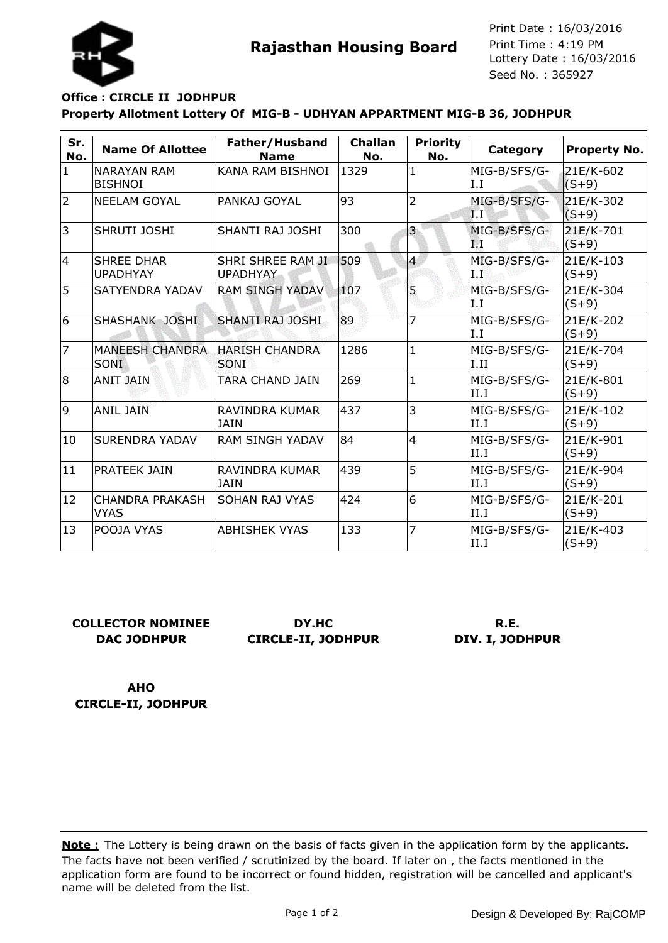

**Rajasthan Housing Board** Print Time : 4:19 PM<br>Lottery Date : 16/03/2016 Seed No. : 365927 Print Date : 16/03/2016 Print Time : 4:19 PM

## **Property Allotment Lottery Of MIG-B - UDHYAN APPARTMENT MIG-B 36, JODHPUR Office : CIRCLE II JODHPUR**

| Sr.<br>No.     | <b>Name Of Allottee</b>               | Father/Husband<br><b>Name</b>        | <b>Challan</b><br>No. | <b>Priority</b><br>No.  | Category                     | Property No.           |
|----------------|---------------------------------------|--------------------------------------|-----------------------|-------------------------|------------------------------|------------------------|
| $\mathbf{1}$   | <b>NARAYAN RAM</b><br><b>BISHNOI</b>  | KANA RAM BISHNOI                     | 1329                  | 1                       | MIG-B/SFS/G-<br>I.I          | 21E/K-602<br>$(S+9)$   |
| $\overline{2}$ | <b>NEELAM GOYAL</b>                   | PANKAJ GOYAL                         | 93                    | $\overline{2}$          | MIG-B/SFS/G-<br>ÏТ           | 21E/K-302<br>$(S+9)$   |
| 3              | SHRUTI JOSHI                          | SHANTI RAJ JOSHI                     | 300                   | $\overline{\mathbf{3}}$ | MIG-B/SFS/G-<br>М            | 21E/K-701<br>$(S + 9)$ |
| 4              | <b>SHREE DHAR</b><br><b>UPADHYAY</b>  | SHRI SHREE RAM JI<br><b>UPADHYAY</b> | 509                   | $\overline{4}$          | MIG-B/SFS/G-<br>$_{\rm I.I}$ | 21E/K-103<br>$(S+9)$   |
| 5              | SATYENDRA YADAV                       | <b>RAM SINGH YADAV</b>               | 107                   | 5                       | MIG-B/SFS/G-<br>I.I          | 21E/K-304<br>$(S+9)$   |
| 6              | SHASHANK JOSHI                        | <b>SHANTI RAJ JOSHI</b>              | 89                    | $\overline{7}$          | MIG-B/SFS/G-<br>I.I          | 21E/K-202<br>$(S+9)$   |
| 17             | <b>MANEESH CHANDRA</b><br><b>SONI</b> | <b>HARISH CHANDRA</b><br>SONI        | 1286                  | $\mathbf{1}$            | MIG-B/SFS/G-<br>I.II         | 21E/K-704<br>$(S+9)$   |
| 8              | <b>ANIT JAIN</b>                      | TARA CHAND JAIN                      | 269                   | $\mathbf{1}$            | MIG-B/SFS/G-<br>II.I         | 21E/K-801<br>$(S+9)$   |
| 9              | <b>ANIL JAIN</b>                      | <b>RAVINDRA KUMAR</b><br><b>JAIN</b> | 437                   | 3                       | MIG-B/SFS/G-<br>II.I         | 21E/K-102<br>$(S+9)$   |
| 10             | <b>SURENDRA YADAV</b>                 | <b>RAM SINGH YADAV</b>               | 84                    | $\overline{4}$          | MIG-B/SFS/G-<br>II.I         | 21E/K-901<br>$(S+9)$   |
| 11             | <b>PRATEEK JAIN</b>                   | RAVINDRA KUMAR<br><b>JAIN</b>        | 439                   | 5                       | MIG-B/SFS/G-<br>II.I         | 21E/K-904<br>$(S+9)$   |
| 12             | <b>CHANDRA PRAKASH</b><br>VYAS        | <b>SOHAN RAJ VYAS</b>                | 424                   | 6                       | MIG-B/SFS/G-<br>II.I         | 21E/K-201<br>$(S+9)$   |
| 13             | POOJA VYAS                            | <b>ABHISHEK VYAS</b>                 | 133                   | $\overline{7}$          | MIG-B/SFS/G-<br>II.I         | 21E/K-403<br>$(S+9)$   |

## **COLLECTOR NOMINEE DAC JODHPUR**

**DY.HC CIRCLE-II, JODHPUR**

## **R.E. DIV. I, JODHPUR**

**AHO CIRCLE-II, JODHPUR**

The facts have not been verified / scrutinized by the board. If later on , the facts mentioned in the application form are found to be incorrect or found hidden, registration will be cancelled and applicant's name will be deleted from the list. **Note :** The Lottery is being drawn on the basis of facts given in the application form by the applicants.